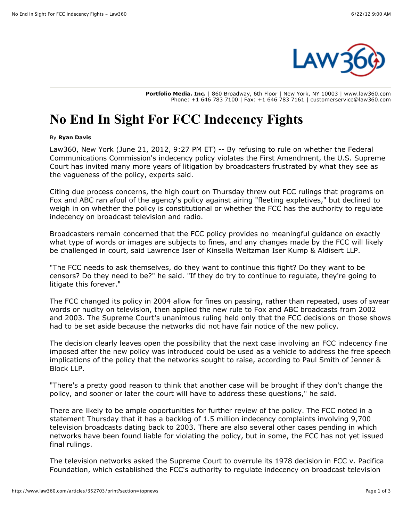

**Portfolio Media. Inc.** | 860 Broadway, 6th Floor | New York, NY 10003 | www.law360.com Phone: +1 646 783 7100 | Fax: +1 646 783 7161 | customerservice@law360.com

## **No End In Sight For FCC Indecency Fights**

## By **Ryan Davis**

Law360, New York (June 21, 2012, 9:27 PM ET) -- By refusing to rule on whether the Federal [Communications Commission's indecency policy violates the First Amendment, the U.S. Supr](http://www.law360.com/agency/federal-communications-commission)[eme](http://www.law360.com/agency/u-s-supreme-court) Court has invited many more years of litigation by broadcasters frustrated by what they see as the vagueness of the policy, experts said.

Citing due process concerns, the high court on Thursday threw out FCC rulings that programs on Fox and ABC ran afoul of the agency's policy against airing "fleeting expletives," but declined to weigh in on whether the policy is constitutional or whether the FCC has the authority to regulate indecency on broadcast television and radio.

Broadcasters remain concerned that the FCC policy provides no meaningful guidance on exactly what type of words or images are subjects to fines, and any changes made by the FCC will likely be challenged in court, said Lawrence Iser of [Kinsella Weitzman Iser Kump & Aldisert LLP.](http://www.law360.com/firm/kinsella-weitzman)

"The FCC needs to ask themselves, do they want to continue this fight? Do they want to be censors? Do they need to be?" he said. "If they do try to continue to regulate, they're going to litigate this forever."

The FCC changed its policy in 2004 allow for fines on passing, rather than repeated, uses of swear words or nudity on television, then applied the new rule to Fox and ABC broadcasts from 2002 and 2003. The Supreme Court's unanimous ruling held only that the FCC decisions on those shows had to be set aside because the networks did not have fair notice of the new policy.

The decision clearly leaves open the possibility that the next case involving an FCC indecency fine imposed after the new policy was introduced could be used as a vehicle to address the free speech [implications of the policy that the networks sought to raise, according to Paul Smith of Jenner &](http://www.law360.com/firm/jenner-block) Block LLP.

"There's a pretty good reason to think that another case will be brought if they don't change the policy, and sooner or later the court will have to address these questions," he said.

There are likely to be ample opportunities for further review of the policy. The FCC noted in a statement Thursday that it has a backlog of 1.5 million indecency complaints involving 9,700 television broadcasts dating back to 2003. There are also several other cases pending in which networks have been found liable for violating the policy, but in some, the FCC has not yet issued final rulings.

The television networks asked the Supreme Court to overrule its 1978 decision in FCC v. Pacifica Foundation, which established the FCC's authority to regulate indecency on broadcast television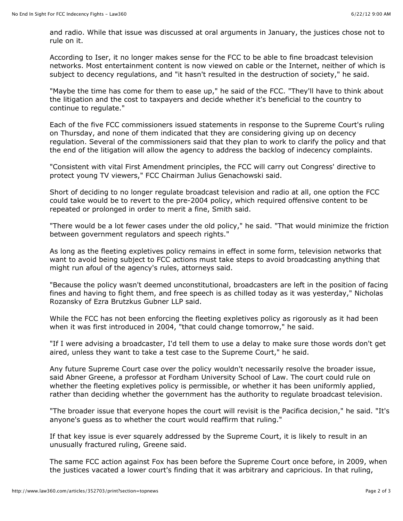and radio. While that issue was discussed at oral arguments in January, the justices chose not to rule on it.

According to Iser, it no longer makes sense for the FCC to be able to fine broadcast television networks. Most entertainment content is now viewed on cable or the Internet, neither of which is subject to decency regulations, and "it hasn't resulted in the destruction of society," he said.

"Maybe the time has come for them to ease up," he said of the FCC. "They'll have to think about the litigation and the cost to taxpayers and decide whether it's beneficial to the country to continue to regulate."

Each of the five FCC commissioners issued statements in response to the Supreme Court's ruling on Thursday, and none of them indicated that they are considering giving up on decency regulation. Several of the commissioners said that they plan to work to clarify the policy and that the end of the litigation will allow the agency to address the backlog of indecency complaints.

"Consistent with vital First Amendment principles, the FCC will carry out Congress' directive to protect young TV viewers," FCC Chairman Julius Genachowski said.

Short of deciding to no longer regulate broadcast television and radio at all, one option the FCC could take would be to revert to the pre-2004 policy, which required offensive content to be repeated or prolonged in order to merit a fine, Smith said.

"There would be a lot fewer cases under the old policy," he said. "That would minimize the friction between government regulators and speech rights."

As long as the fleeting expletives policy remains in effect in some form, television networks that want to avoid being subject to FCC actions must take steps to avoid broadcasting anything that might run afoul of the agency's rules, attorneys said.

"Because the policy wasn't deemed unconstitutional, broadcasters are left in the position of facing fines and having to fight them, and free speech is as chilled today as it was yesterday," Nicholas Rozansky of Ezra Brutzkus Gubner LLP said.

While the FCC has not been enforcing the fleeting expletives policy as rigorously as it had been when it was first introduced in 2004, "that could change tomorrow," he said.

"If I were advising a broadcaster, I'd tell them to use a delay to make sure those words don't get aired, unless they want to take a test case to the Supreme Court," he said.

Any future Supreme Court case over the policy wouldn't necessarily resolve the broader issue, said Abner Greene, a professor at Fordham University School of Law. The court could rule on whether the fleeting expletives policy is permissible, or whether it has been uniformly applied, rather than deciding whether the government has the authority to regulate broadcast television.

"The broader issue that everyone hopes the court will revisit is the Pacifica decision," he said. "It's anyone's guess as to whether the court would reaffirm that ruling."

If that key issue is ever squarely addressed by the Supreme Court, it is likely to result in an unusually fractured ruling, Greene said.

The same FCC action against Fox has been before the Supreme Court once before, in 2009, when the justices vacated a lower court's finding that it was arbitrary and capricious. In that ruling,